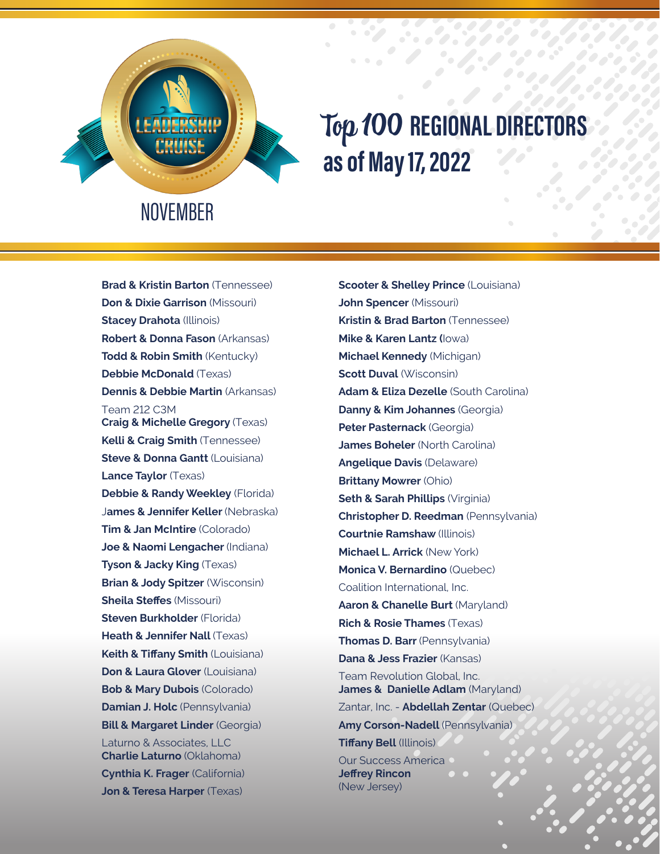

## Top 100 **REGIONAL DIRECTORS as of May 17, 2022**

**Brad & Kristin Barton** (Tennessee) **Don & Dixie Garrison** (Missouri) **Stacey Drahota** (Illinois) **Robert & Donna Fason** (Arkansas) **Todd & Robin Smith** (Kentucky) **Debbie McDonald** (Texas) **Dennis & Debbie Martin** (Arkansas) Team 212 C3M **Craig & Michelle Gregory** (Texas) **Kelli & Craig Smith** (Tennessee) **Steve & Donna Gantt (Louisiana) Lance Taylor** (Texas) **Debbie & Randy Weekley** (Florida) J**ames & Jennifer Keller** (Nebraska) **Tim & Jan McIntire** (Colorado) **Joe & Naomi Lengacher** (Indiana) **Tyson & Jacky King** (Texas) **Brian & Jody Spitzer** (Wisconsin) **Sheila Steffes** (Missouri) **Steven Burkholder** (Florida) **Heath & Jennifer Nall (Texas) Keith & Tiffany Smith** (Louisiana) **Don & Laura Glover** (Louisiana) **Bob & Mary Dubois** (Colorado) **Damian J. Holc** (Pennsylvania) **Bill & Margaret Linder** (Georgia) Laturno & Associates, LLC **Charlie Laturno** (Oklahoma) **Cynthia K. Frager** (California) **Jon & Teresa Harper** (Texas)

**Scooter & Shelley Prince** (Louisiana) **John Spencer** (Missouri) **Kristin & Brad Barton** (Tennessee) **Mike & Karen Lantz (**Iowa) **Michael Kennedy** (Michigan) **Scott Duval** (Wisconsin) **Adam & Eliza Dezelle** (South Carolina) **Danny & Kim Johannes** (Georgia) **Peter Pasternack** (Georgia) **James Boheler** (North Carolina) **Angelique Davis** (Delaware) **Brittany Mowrer** (Ohio) **Seth & Sarah Phillips** (Virginia) **Christopher D. Reedman** (Pennsylvania) **Courtnie Ramshaw** (Illinois) **Michael L. Arrick** (New York) **Monica V. Bernardino** (Quebec) Coalition International, Inc. **Aaron & Chanelle Burt** (Maryland) **Rich & Rosie Thames** (Texas) **Thomas D. Barr** (Pennsylvania) **Dana & Jess Frazier** (Kansas) Team Revolution Global, Inc. **James & Danielle Adlam** (Maryland) Zantar, Inc. - **Abdellah Zentar** (Quebec) **Amy Corson-Nadell** (Pennsylvania) **Tiffany Bell** (Illinois) Our Success America **Jeffrey Rincon**  (New Jersey)